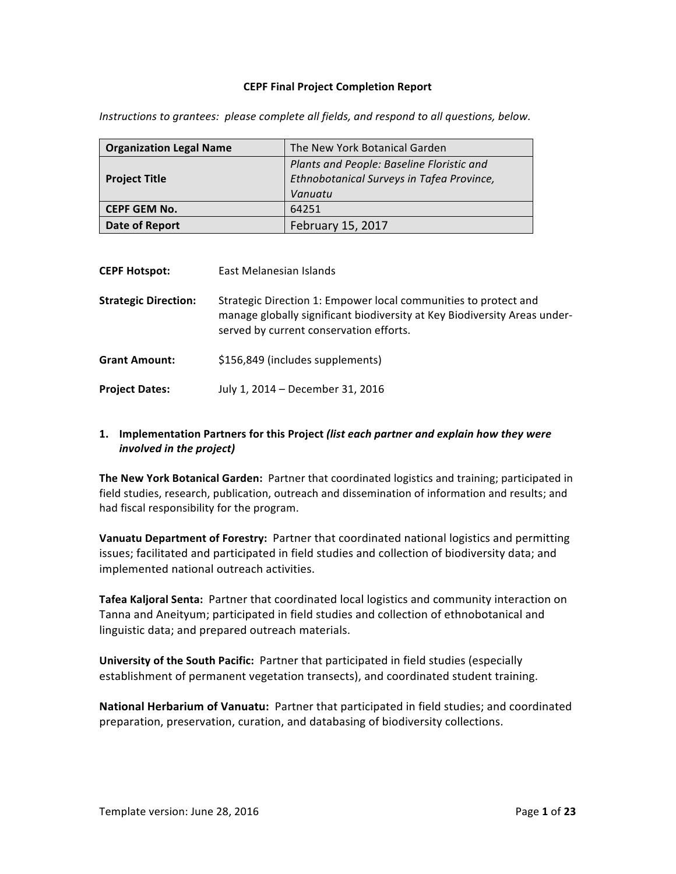### **CEPF Final Project Completion Report**

| <b>Organization Legal Name</b> | The New York Botanical Garden             |  |  |  |  |
|--------------------------------|-------------------------------------------|--|--|--|--|
|                                | Plants and People: Baseline Floristic and |  |  |  |  |
| <b>Project Title</b>           | Ethnobotanical Surveys in Tafea Province, |  |  |  |  |
|                                | Vanuatu                                   |  |  |  |  |
| <b>CEPF GEM No.</b>            | 64251                                     |  |  |  |  |
| Date of Report                 | February 15, 2017                         |  |  |  |  |

*Instructions to grantees: please complete all fields, and respond to all questions, below.* 

| <b>CEPF Hotspot:</b>        | East Melanesian Islands                                                                                                                                                                 |
|-----------------------------|-----------------------------------------------------------------------------------------------------------------------------------------------------------------------------------------|
| <b>Strategic Direction:</b> | Strategic Direction 1: Empower local communities to protect and<br>manage globally significant biodiversity at Key Biodiversity Areas under-<br>served by current conservation efforts. |
| <b>Grant Amount:</b>        | \$156,849 (includes supplements)                                                                                                                                                        |
| <b>Project Dates:</b>       | July 1, 2014 - December 31, 2016                                                                                                                                                        |

## **1.** Implementation Partners for this Project (list each partner and explain how they were *involved in the project)*

The New York Botanical Garden: Partner that coordinated logistics and training; participated in field studies, research, publication, outreach and dissemination of information and results; and had fiscal responsibility for the program.

**Vanuatu Department of Forestry:** Partner that coordinated national logistics and permitting issues; facilitated and participated in field studies and collection of biodiversity data; and implemented national outreach activities.

Tafea Kaljoral Senta: Partner that coordinated local logistics and community interaction on Tanna and Aneityum; participated in field studies and collection of ethnobotanical and linguistic data; and prepared outreach materials.

**University of the South Pacific:** Partner that participated in field studies (especially establishment of permanent vegetation transects), and coordinated student training.

**National Herbarium of Vanuatu:** Partner that participated in field studies; and coordinated preparation, preservation, curation, and databasing of biodiversity collections.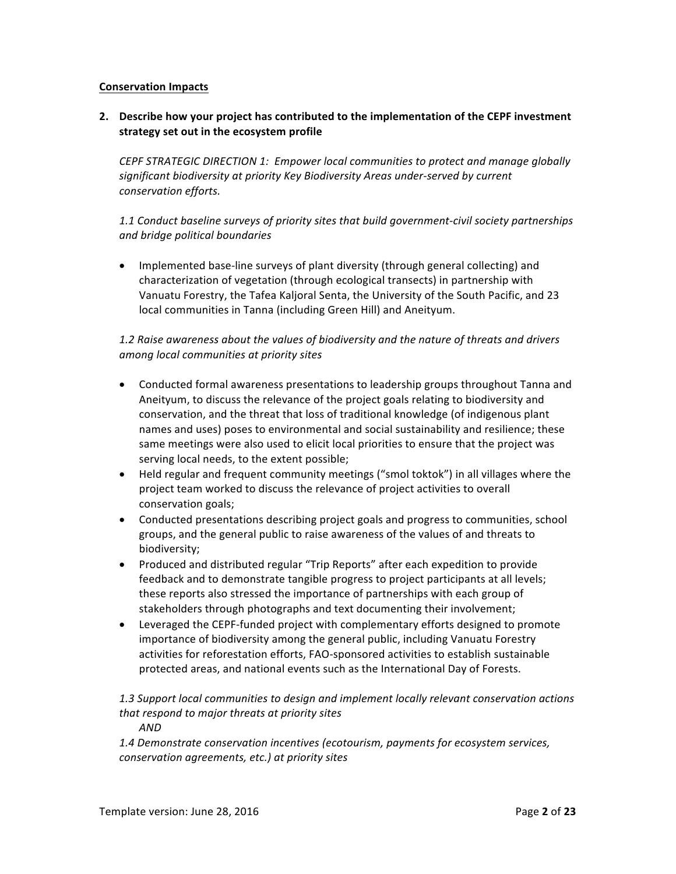### **Conservation Impacts**

## **2.** Describe how your project has contributed to the implementation of the CEPF investment **strategy set out in the ecosystem profile**

CEPF STRATEGIC DIRECTION 1: Empower local communities to protect and manage globally significant biodiversity at priority Key Biodiversity Areas under-served by current *conservation efforts.*

## 1.1 Conduct baseline surveys of priority sites that build government-civil society partnerships *and bridge political boundaries*

• Implemented base-line surveys of plant diversity (through general collecting) and characterization of vegetation (through ecological transects) in partnership with Vanuatu Forestry, the Tafea Kaljoral Senta, the University of the South Pacific, and 23 local communities in Tanna (including Green Hill) and Aneityum.

## 1.2 Raise awareness about the values of biodiversity and the nature of threats and drivers *among local communities at priority sites*

- Conducted formal awareness presentations to leadership groups throughout Tanna and Aneityum, to discuss the relevance of the project goals relating to biodiversity and conservation, and the threat that loss of traditional knowledge (of indigenous plant names and uses) poses to environmental and social sustainability and resilience; these same meetings were also used to elicit local priorities to ensure that the project was serving local needs, to the extent possible;
- Held regular and frequent community meetings ("smol toktok") in all villages where the project team worked to discuss the relevance of project activities to overall conservation goals;
- Conducted presentations describing project goals and progress to communities, school groups, and the general public to raise awareness of the values of and threats to biodiversity;
- Produced and distributed regular "Trip Reports" after each expedition to provide feedback and to demonstrate tangible progress to project participants at all levels; these reports also stressed the importance of partnerships with each group of stakeholders through photographs and text documenting their involvement;
- Leveraged the CEPF-funded project with complementary efforts designed to promote importance of biodiversity among the general public, including Vanuatu Forestry activities for reforestation efforts, FAO-sponsored activities to establish sustainable protected areas, and national events such as the International Day of Forests.

# 1.3 Support local communities to design and implement locally relevant conservation actions that respond to major threats at priority sites

*AND*

1.4 Demonstrate conservation incentives (ecotourism, payments for ecosystem services, conservation agreements, etc.) at priority sites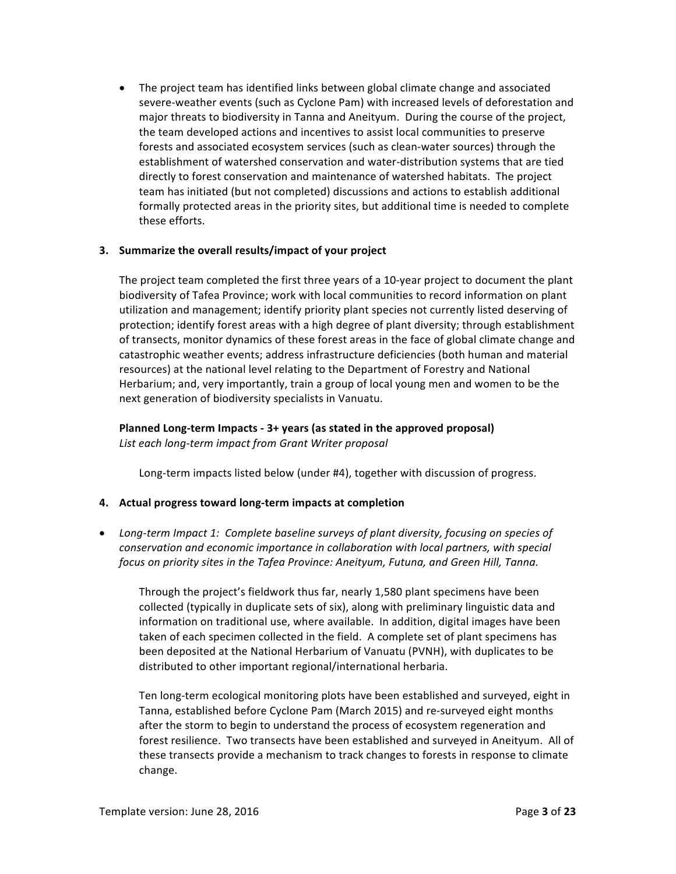• The project team has identified links between global climate change and associated severe-weather events (such as Cyclone Pam) with increased levels of deforestation and major threats to biodiversity in Tanna and Aneityum. During the course of the project, the team developed actions and incentives to assist local communities to preserve forests and associated ecosystem services (such as clean-water sources) through the establishment of watershed conservation and water-distribution systems that are tied directly to forest conservation and maintenance of watershed habitats. The project team has initiated (but not completed) discussions and actions to establish additional formally protected areas in the priority sites, but additional time is needed to complete these efforts.

### **3.** Summarize the overall results/impact of your project

The project team completed the first three years of a 10-year project to document the plant biodiversity of Tafea Province; work with local communities to record information on plant utilization and management; identify priority plant species not currently listed deserving of protection; identify forest areas with a high degree of plant diversity; through establishment of transects, monitor dynamics of these forest areas in the face of global climate change and catastrophic weather events; address infrastructure deficiencies (both human and material resources) at the national level relating to the Department of Forestry and National Herbarium; and, very importantly, train a group of local young men and women to be the next generation of biodiversity specialists in Vanuatu.

**Planned Long-term Impacts - 3+ years (as stated in the approved proposal)** List each long-term impact from Grant Writer proposal

Long-term impacts listed below (under #4), together with discussion of progress.

### **4. Actual progress toward long-term impacts at completion**

• Long-term Impact 1: Complete baseline surveys of plant diversity, focusing on species of *conservation and economic importance in collaboration with local partners, with special focus* on priority sites in the Tafea Province: Aneityum, Futuna, and Green Hill, Tanna.

Through the project's fieldwork thus far, nearly 1,580 plant specimens have been collected (typically in duplicate sets of six), along with preliminary linguistic data and information on traditional use, where available. In addition, digital images have been taken of each specimen collected in the field. A complete set of plant specimens has been deposited at the National Herbarium of Vanuatu (PVNH), with duplicates to be distributed to other important regional/international herbaria.

Ten long-term ecological monitoring plots have been established and surveyed, eight in Tanna, established before Cyclone Pam (March 2015) and re-surveyed eight months after the storm to begin to understand the process of ecosystem regeneration and forest resilience. Two transects have been established and surveyed in Aneityum. All of these transects provide a mechanism to track changes to forests in response to climate change.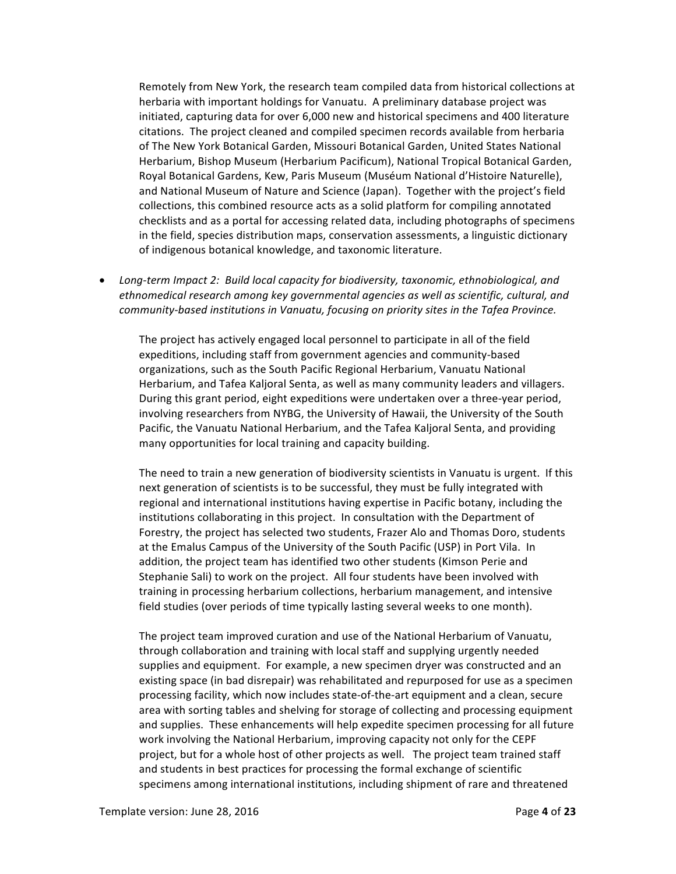Remotely from New York, the research team compiled data from historical collections at herbaria with important holdings for Vanuatu. A preliminary database project was initiated, capturing data for over 6,000 new and historical specimens and 400 literature citations. The project cleaned and compiled specimen records available from herbaria of The New York Botanical Garden, Missouri Botanical Garden, United States National Herbarium, Bishop Museum (Herbarium Pacificum), National Tropical Botanical Garden, Royal Botanical Gardens, Kew, Paris Museum (Muséum National d'Histoire Naturelle), and National Museum of Nature and Science (Japan). Together with the project's field collections, this combined resource acts as a solid platform for compiling annotated checklists and as a portal for accessing related data, including photographs of specimens in the field, species distribution maps, conservation assessments, a linguistic dictionary of indigenous botanical knowledge, and taxonomic literature.

• Long-term Impact 2: Build local capacity for biodiversity, taxonomic, ethnobiological, and ethnomedical research among key governmental agencies as well as scientific, cultural, and community-based institutions in Vanuatu, focusing on priority sites in the Tafea Province.

The project has actively engaged local personnel to participate in all of the field expeditions, including staff from government agencies and community-based organizations, such as the South Pacific Regional Herbarium, Vanuatu National Herbarium, and Tafea Kaljoral Senta, as well as many community leaders and villagers. During this grant period, eight expeditions were undertaken over a three-year period, involving researchers from NYBG, the University of Hawaii, the University of the South Pacific, the Vanuatu National Herbarium, and the Tafea Kaljoral Senta, and providing many opportunities for local training and capacity building.

The need to train a new generation of biodiversity scientists in Vanuatu is urgent. If this next generation of scientists is to be successful, they must be fully integrated with regional and international institutions having expertise in Pacific botany, including the institutions collaborating in this project. In consultation with the Department of Forestry, the project has selected two students, Frazer Alo and Thomas Doro, students at the Emalus Campus of the University of the South Pacific (USP) in Port Vila. In addition, the project team has identified two other students (Kimson Perie and Stephanie Sali) to work on the project. All four students have been involved with training in processing herbarium collections, herbarium management, and intensive field studies (over periods of time typically lasting several weeks to one month).

The project team improved curation and use of the National Herbarium of Vanuatu, through collaboration and training with local staff and supplying urgently needed supplies and equipment. For example, a new specimen dryer was constructed and an existing space (in bad disrepair) was rehabilitated and repurposed for use as a specimen processing facility, which now includes state-of-the-art equipment and a clean, secure area with sorting tables and shelving for storage of collecting and processing equipment and supplies. These enhancements will help expedite specimen processing for all future work involving the National Herbarium, improving capacity not only for the CEPF project, but for a whole host of other projects as well. The project team trained staff and students in best practices for processing the formal exchange of scientific specimens among international institutions, including shipment of rare and threatened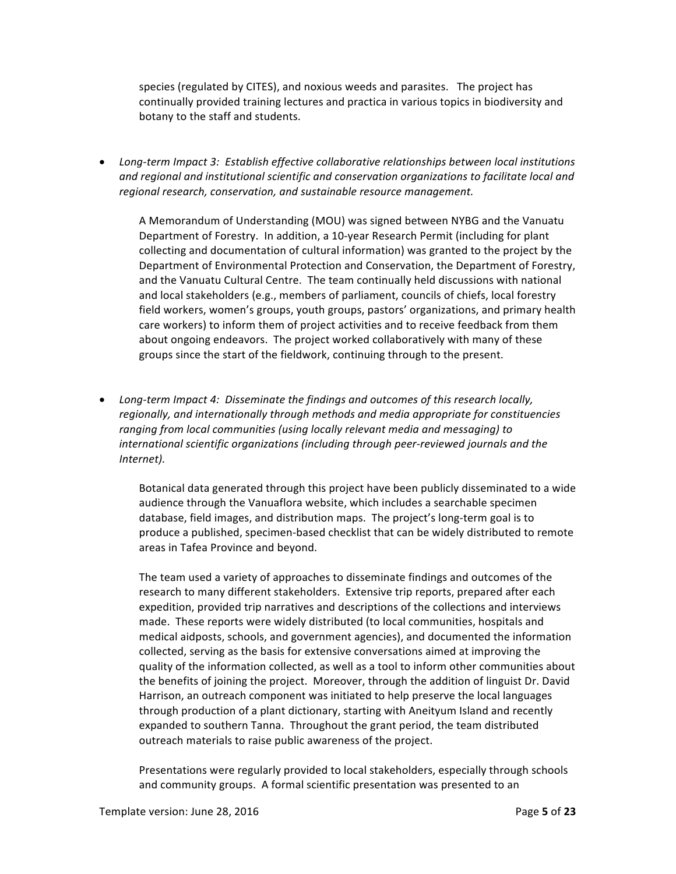species (regulated by CITES), and noxious weeds and parasites. The project has continually provided training lectures and practica in various topics in biodiversity and botany to the staff and students.

• Long-term Impact 3: Establish effective collaborative relationships between local institutions and regional and institutional scientific and conservation organizations to facilitate local and regional research, conservation, and sustainable resource management.

A Memorandum of Understanding (MOU) was signed between NYBG and the Vanuatu Department of Forestry. In addition, a 10-year Research Permit (including for plant collecting and documentation of cultural information) was granted to the project by the Department of Environmental Protection and Conservation, the Department of Forestry, and the Vanuatu Cultural Centre. The team continually held discussions with national and local stakeholders (e.g., members of parliament, councils of chiefs, local forestry field workers, women's groups, youth groups, pastors' organizations, and primary health care workers) to inform them of project activities and to receive feedback from them about ongoing endeavors. The project worked collaboratively with many of these groups since the start of the fieldwork, continuing through to the present.

• Long-term Impact 4: Disseminate the findings and outcomes of this research locally, regionally, and internationally through methods and media appropriate for constituencies ranging from local communities (using locally relevant media and messaging) to international scientific organizations (including through peer-reviewed journals and the *Internet).*

Botanical data generated through this project have been publicly disseminated to a wide audience through the Vanuaflora website, which includes a searchable specimen database, field images, and distribution maps. The project's long-term goal is to produce a published, specimen-based checklist that can be widely distributed to remote areas in Tafea Province and beyond.

The team used a variety of approaches to disseminate findings and outcomes of the research to many different stakeholders. Extensive trip reports, prepared after each expedition, provided trip narratives and descriptions of the collections and interviews made. These reports were widely distributed (to local communities, hospitals and medical aidposts, schools, and government agencies), and documented the information collected, serving as the basis for extensive conversations aimed at improving the quality of the information collected, as well as a tool to inform other communities about the benefits of joining the project. Moreover, through the addition of linguist Dr. David Harrison, an outreach component was initiated to help preserve the local languages through production of a plant dictionary, starting with Aneityum Island and recently expanded to southern Tanna. Throughout the grant period, the team distributed outreach materials to raise public awareness of the project.

Presentations were regularly provided to local stakeholders, especially through schools and community groups. A formal scientific presentation was presented to an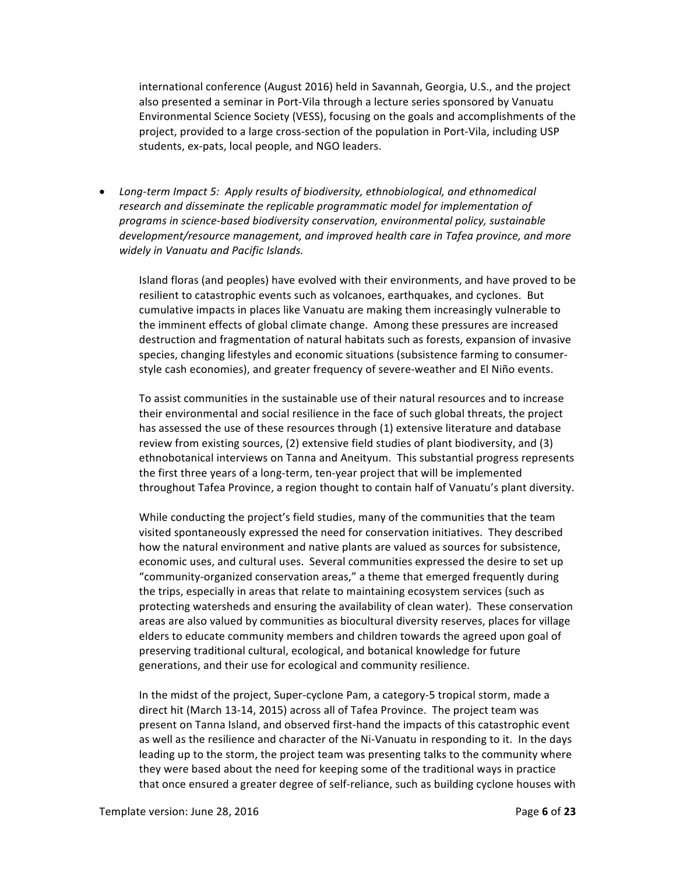international conference (August 2016) held in Savannah, Georgia, U.S., and the project also presented a seminar in Port-Vila through a lecture series sponsored by Vanuatu Environmental Science Society (VESS), focusing on the goals and accomplishments of the project, provided to a large cross-section of the population in Port-Vila, including USP students, ex-pats, local people, and NGO leaders.

• Long-term Impact 5: Apply results of biodiversity, ethnobiological, and ethnomedical research and disseminate the replicable programmatic model for implementation of programs in science-based biodiversity conservation, environmental policy, sustainable development/resource management, and improved health care in Tafea province, and more *widely in Vanuatu and Pacific Islands.*

Island floras (and peoples) have evolved with their environments, and have proved to be resilient to catastrophic events such as volcanoes, earthquakes, and cyclones. But cumulative impacts in places like Vanuatu are making them increasingly vulnerable to the imminent effects of global climate change. Among these pressures are increased destruction and fragmentation of natural habitats such as forests, expansion of invasive species, changing lifestyles and economic situations (subsistence farming to consumerstyle cash economies), and greater frequency of severe-weather and El Niño events.

To assist communities in the sustainable use of their natural resources and to increase their environmental and social resilience in the face of such global threats, the project has assessed the use of these resources through (1) extensive literature and database review from existing sources, (2) extensive field studies of plant biodiversity, and (3) ethnobotanical interviews on Tanna and Aneityum. This substantial progress represents the first three years of a long-term, ten-year project that will be implemented throughout Tafea Province, a region thought to contain half of Vanuatu's plant diversity.

While conducting the project's field studies, many of the communities that the team visited spontaneously expressed the need for conservation initiatives. They described how the natural environment and native plants are valued as sources for subsistence, economic uses, and cultural uses. Several communities expressed the desire to set up "community-organized conservation areas," a theme that emerged frequently during the trips, especially in areas that relate to maintaining ecosystem services (such as protecting watersheds and ensuring the availability of clean water). These conservation areas are also valued by communities as biocultural diversity reserves, places for village elders to educate community members and children towards the agreed upon goal of preserving traditional cultural, ecological, and botanical knowledge for future generations, and their use for ecological and community resilience.

In the midst of the project, Super-cyclone Pam, a category-5 tropical storm, made a direct hit (March 13-14, 2015) across all of Tafea Province. The project team was present on Tanna Island, and observed first-hand the impacts of this catastrophic event as well as the resilience and character of the Ni-Vanuatu in responding to it. In the days leading up to the storm, the project team was presenting talks to the community where they were based about the need for keeping some of the traditional ways in practice that once ensured a greater degree of self-reliance, such as building cyclone houses with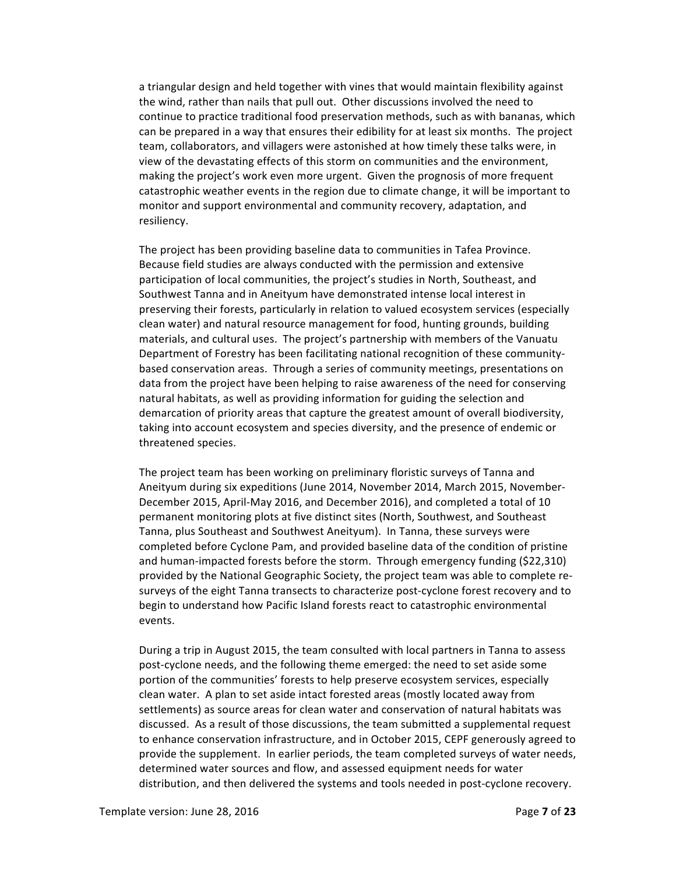a triangular design and held together with vines that would maintain flexibility against the wind, rather than nails that pull out. Other discussions involved the need to continue to practice traditional food preservation methods, such as with bananas, which can be prepared in a way that ensures their edibility for at least six months. The project team, collaborators, and villagers were astonished at how timely these talks were, in view of the devastating effects of this storm on communities and the environment, making the project's work even more urgent. Given the prognosis of more frequent catastrophic weather events in the region due to climate change, it will be important to monitor and support environmental and community recovery, adaptation, and resiliency.

The project has been providing baseline data to communities in Tafea Province. Because field studies are always conducted with the permission and extensive participation of local communities, the project's studies in North, Southeast, and Southwest Tanna and in Aneityum have demonstrated intense local interest in preserving their forests, particularly in relation to valued ecosystem services (especially clean water) and natural resource management for food, hunting grounds, building materials, and cultural uses. The project's partnership with members of the Vanuatu Department of Forestry has been facilitating national recognition of these communitybased conservation areas. Through a series of community meetings, presentations on data from the project have been helping to raise awareness of the need for conserving natural habitats, as well as providing information for guiding the selection and demarcation of priority areas that capture the greatest amount of overall biodiversity, taking into account ecosystem and species diversity, and the presence of endemic or threatened species.

The project team has been working on preliminary floristic surveys of Tanna and Aneityum during six expeditions (June 2014, November 2014, March 2015, November-December 2015, April-May 2016, and December 2016), and completed a total of 10 permanent monitoring plots at five distinct sites (North, Southwest, and Southeast Tanna, plus Southeast and Southwest Aneityum). In Tanna, these surveys were completed before Cyclone Pam, and provided baseline data of the condition of pristine and human-impacted forests before the storm. Through emergency funding (\$22,310) provided by the National Geographic Society, the project team was able to complete resurveys of the eight Tanna transects to characterize post-cyclone forest recovery and to begin to understand how Pacific Island forests react to catastrophic environmental events.

During a trip in August 2015, the team consulted with local partners in Tanna to assess post-cyclone needs, and the following theme emerged: the need to set aside some portion of the communities' forests to help preserve ecosystem services, especially clean water. A plan to set aside intact forested areas (mostly located away from settlements) as source areas for clean water and conservation of natural habitats was discussed. As a result of those discussions, the team submitted a supplemental request to enhance conservation infrastructure, and in October 2015, CEPF generously agreed to provide the supplement. In earlier periods, the team completed surveys of water needs, determined water sources and flow, and assessed equipment needs for water distribution, and then delivered the systems and tools needed in post-cyclone recovery.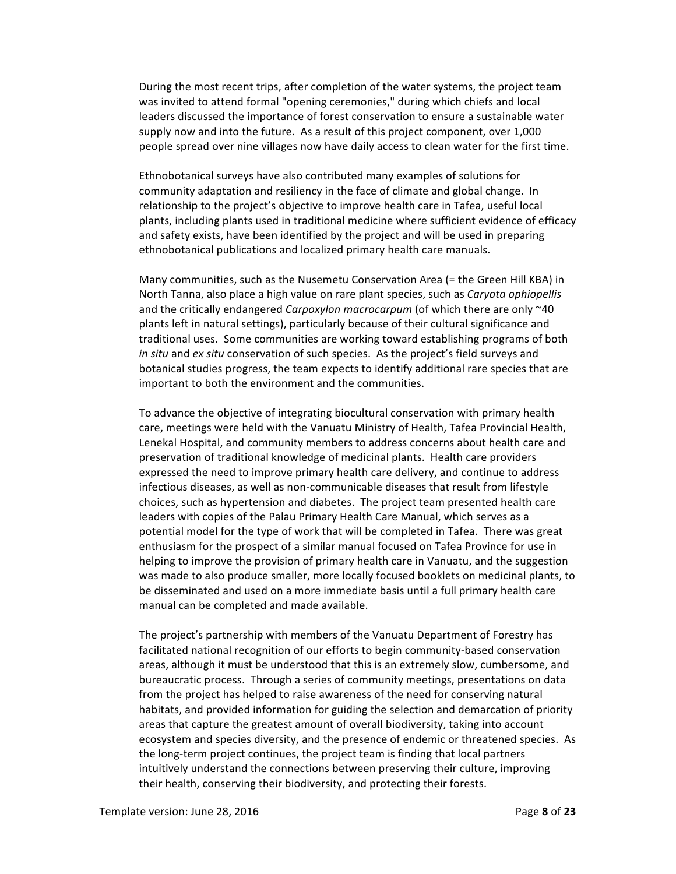During the most recent trips, after completion of the water systems, the project team was invited to attend formal "opening ceremonies," during which chiefs and local leaders discussed the importance of forest conservation to ensure a sustainable water supply now and into the future. As a result of this project component, over 1,000 people spread over nine villages now have daily access to clean water for the first time.

Ethnobotanical surveys have also contributed many examples of solutions for community adaptation and resiliency in the face of climate and global change. In relationship to the project's objective to improve health care in Tafea, useful local plants, including plants used in traditional medicine where sufficient evidence of efficacy and safety exists, have been identified by the project and will be used in preparing ethnobotanical publications and localized primary health care manuals.

Many communities, such as the Nusemetu Conservation Area (= the Green Hill KBA) in North Tanna, also place a high value on rare plant species, such as *Caryota ophiopellis* and the critically endangered *Carpoxylon macrocarpum* (of which there are only ~40 plants left in natural settings), particularly because of their cultural significance and traditional uses. Some communities are working toward establishing programs of both *in situ* and *ex situ* conservation of such species. As the project's field surveys and botanical studies progress, the team expects to identify additional rare species that are important to both the environment and the communities.

To advance the objective of integrating biocultural conservation with primary health care, meetings were held with the Vanuatu Ministry of Health, Tafea Provincial Health, Lenekal Hospital, and community members to address concerns about health care and preservation of traditional knowledge of medicinal plants. Health care providers expressed the need to improve primary health care delivery, and continue to address infectious diseases, as well as non-communicable diseases that result from lifestyle choices, such as hypertension and diabetes. The project team presented health care leaders with copies of the Palau Primary Health Care Manual, which serves as a potential model for the type of work that will be completed in Tafea. There was great enthusiasm for the prospect of a similar manual focused on Tafea Province for use in helping to improve the provision of primary health care in Vanuatu, and the suggestion was made to also produce smaller, more locally focused booklets on medicinal plants, to be disseminated and used on a more immediate basis until a full primary health care manual can be completed and made available.

The project's partnership with members of the Vanuatu Department of Forestry has facilitated national recognition of our efforts to begin community-based conservation areas, although it must be understood that this is an extremely slow, cumbersome, and bureaucratic process. Through a series of community meetings, presentations on data from the project has helped to raise awareness of the need for conserving natural habitats, and provided information for guiding the selection and demarcation of priority areas that capture the greatest amount of overall biodiversity, taking into account ecosystem and species diversity, and the presence of endemic or threatened species. As the long-term project continues, the project team is finding that local partners intuitively understand the connections between preserving their culture, improving their health, conserving their biodiversity, and protecting their forests.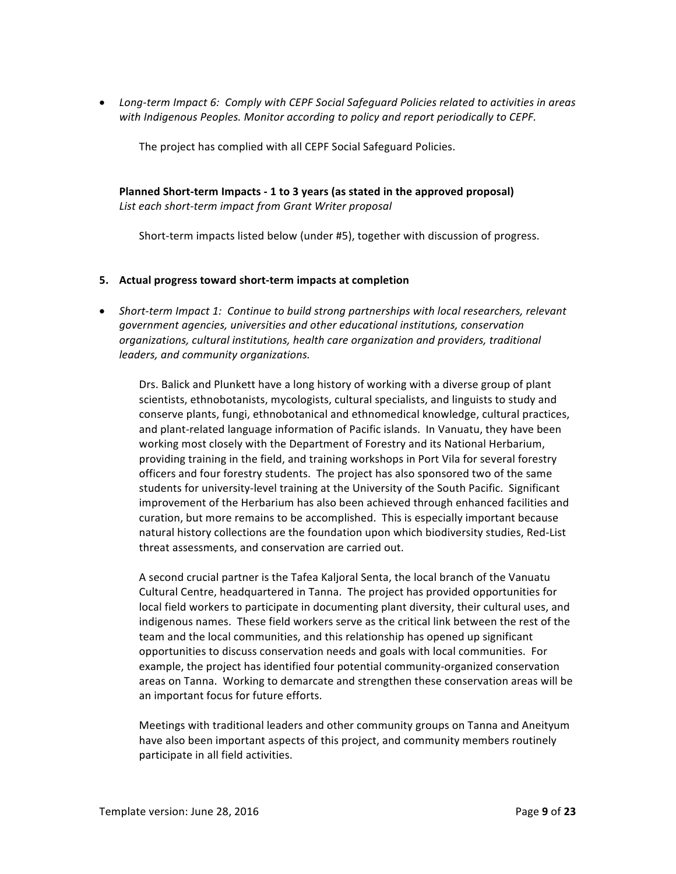• Long-term Impact 6: Comply with CEPF Social Safeguard Policies related to activities in areas *with Indigenous Peoples. Monitor according to policy and report periodically to CEPF.* 

The project has complied with all CEPF Social Safeguard Policies.

**Planned Short-term Impacts - 1 to 3 years (as stated in the approved proposal)** *List each short-term impact from Grant Writer proposal*

Short-term impacts listed below (under #5), together with discussion of progress.

### **5. Actual progress toward short-term impacts at completion**

• Short-term Impact 1: Continue to build strong partnerships with local researchers, relevant *government agencies, universities and other educational institutions, conservation*  organizations, cultural institutions, health care organization and providers, traditional *leaders, and community organizations.*

Drs. Balick and Plunkett have a long history of working with a diverse group of plant scientists, ethnobotanists, mycologists, cultural specialists, and linguists to study and conserve plants, fungi, ethnobotanical and ethnomedical knowledge, cultural practices, and plant-related language information of Pacific islands. In Vanuatu, they have been working most closely with the Department of Forestry and its National Herbarium, providing training in the field, and training workshops in Port Vila for several forestry officers and four forestry students. The project has also sponsored two of the same students for university-level training at the University of the South Pacific. Significant improvement of the Herbarium has also been achieved through enhanced facilities and curation, but more remains to be accomplished. This is especially important because natural history collections are the foundation upon which biodiversity studies, Red-List threat assessments, and conservation are carried out.

A second crucial partner is the Tafea Kaljoral Senta, the local branch of the Vanuatu Cultural Centre, headquartered in Tanna. The project has provided opportunities for local field workers to participate in documenting plant diversity, their cultural uses, and indigenous names. These field workers serve as the critical link between the rest of the team and the local communities, and this relationship has opened up significant opportunities to discuss conservation needs and goals with local communities. For example, the project has identified four potential community-organized conservation areas on Tanna. Working to demarcate and strengthen these conservation areas will be an important focus for future efforts.

Meetings with traditional leaders and other community groups on Tanna and Aneityum have also been important aspects of this project, and community members routinely participate in all field activities.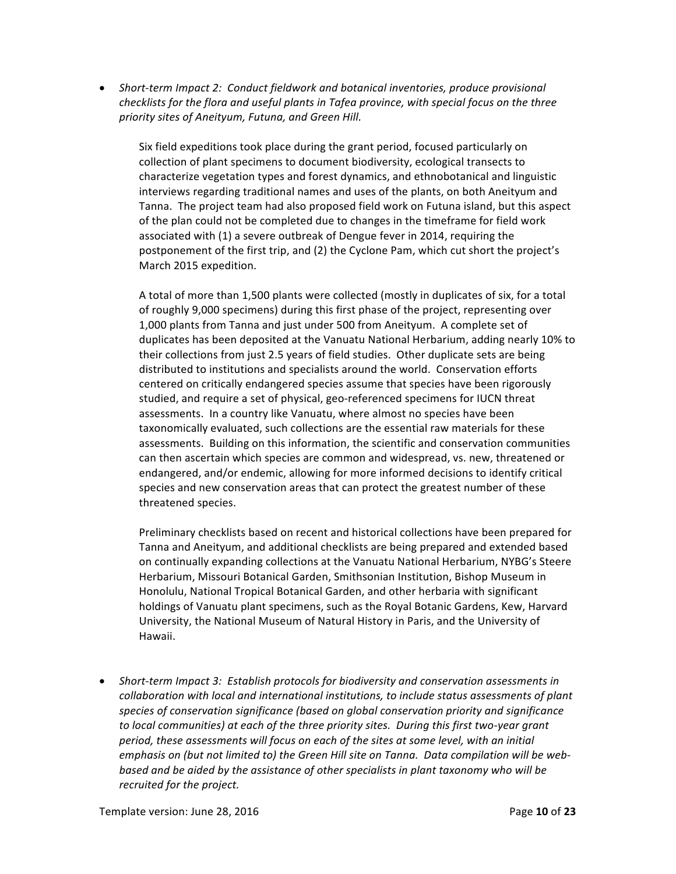• Short-term Impact 2: Conduct fieldwork and botanical inventories, produce provisional *checklists for the flora and useful plants in Tafea province, with special focus on the three* priority sites of Aneityum, Futuna, and Green Hill.

Six field expeditions took place during the grant period, focused particularly on collection of plant specimens to document biodiversity, ecological transects to characterize vegetation types and forest dynamics, and ethnobotanical and linguistic interviews regarding traditional names and uses of the plants, on both Aneityum and Tanna. The project team had also proposed field work on Futuna island, but this aspect of the plan could not be completed due to changes in the timeframe for field work associated with (1) a severe outbreak of Dengue fever in 2014, requiring the postponement of the first trip, and (2) the Cyclone Pam, which cut short the project's March 2015 expedition.

A total of more than 1,500 plants were collected (mostly in duplicates of six, for a total of roughly 9,000 specimens) during this first phase of the project, representing over 1,000 plants from Tanna and just under 500 from Aneityum. A complete set of duplicates has been deposited at the Vanuatu National Herbarium, adding nearly 10% to their collections from just 2.5 years of field studies. Other duplicate sets are being distributed to institutions and specialists around the world. Conservation efforts centered on critically endangered species assume that species have been rigorously studied, and require a set of physical, geo-referenced specimens for IUCN threat assessments. In a country like Vanuatu, where almost no species have been taxonomically evaluated, such collections are the essential raw materials for these assessments. Building on this information, the scientific and conservation communities can then ascertain which species are common and widespread, vs. new, threatened or endangered, and/or endemic, allowing for more informed decisions to identify critical species and new conservation areas that can protect the greatest number of these threatened species.

Preliminary checklists based on recent and historical collections have been prepared for Tanna and Aneityum, and additional checklists are being prepared and extended based on continually expanding collections at the Vanuatu National Herbarium, NYBG's Steere Herbarium, Missouri Botanical Garden, Smithsonian Institution, Bishop Museum in Honolulu, National Tropical Botanical Garden, and other herbaria with significant holdings of Vanuatu plant specimens, such as the Royal Botanic Gardens, Kew, Harvard University, the National Museum of Natural History in Paris, and the University of Hawaii.

• Short-term Impact 3: Establish protocols for biodiversity and conservation assessments in *collaboration with local and international institutions, to include status assessments of plant* species of conservation significance (based on global conservation priority and significance to local communities) at each of the three priority sites. During this first two-year grant period, these assessments will focus on each of the sites at some level, with an initial emphasis on (but not limited to) the Green Hill site on Tanna. Data compilation will be webbased and be aided by the assistance of other specialists in plant taxonomy who will be *recruited for the project.*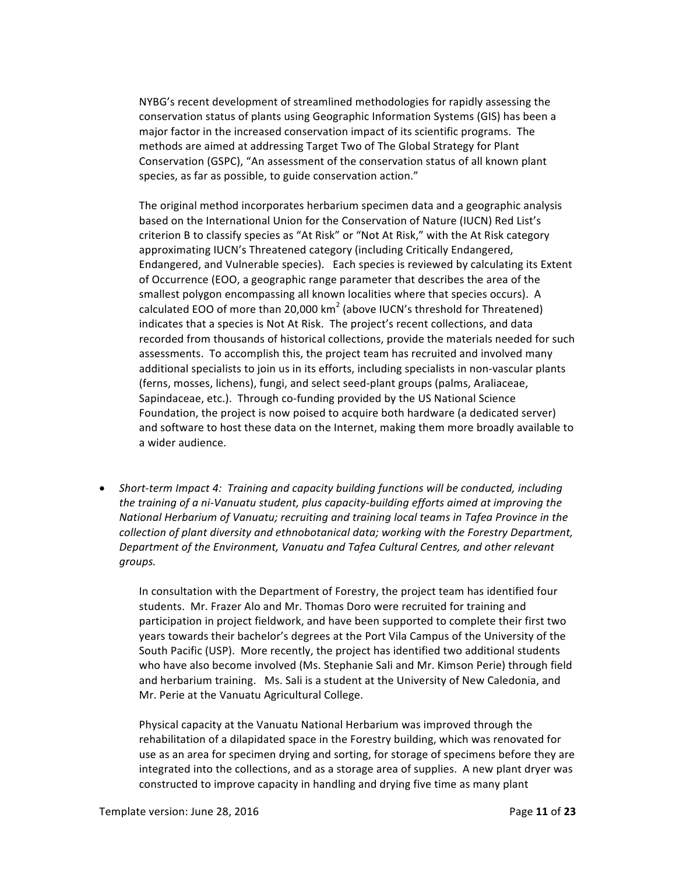NYBG's recent development of streamlined methodologies for rapidly assessing the conservation status of plants using Geographic Information Systems (GIS) has been a major factor in the increased conservation impact of its scientific programs. The methods are aimed at addressing Target Two of The Global Strategy for Plant Conservation (GSPC), "An assessment of the conservation status of all known plant species, as far as possible, to guide conservation action."

The original method incorporates herbarium specimen data and a geographic analysis based on the International Union for the Conservation of Nature (IUCN) Red List's criterion B to classify species as "At Risk" or "Not At Risk," with the At Risk category approximating IUCN's Threatened category (including Critically Endangered, Endangered, and Vulnerable species). Each species is reviewed by calculating its Extent of Occurrence (EOO, a geographic range parameter that describes the area of the smallest polygon encompassing all known localities where that species occurs). A calculated EOO of more than 20,000  $km^2$  (above IUCN's threshold for Threatened) indicates that a species is Not At Risk. The project's recent collections, and data recorded from thousands of historical collections, provide the materials needed for such assessments. To accomplish this, the project team has recruited and involved many additional specialists to join us in its efforts, including specialists in non-vascular plants (ferns, mosses, lichens), fungi, and select seed-plant groups (palms, Araliaceae, Sapindaceae, etc.). Through co-funding provided by the US National Science Foundation, the project is now poised to acquire both hardware (a dedicated server) and software to host these data on the Internet, making them more broadly available to a wider audience.

*Short-term Impact 4: Training and capacity building functions will be conducted, including* the training of a ni-Vanuatu student, plus capacity-building efforts aimed at improving the *National Herbarium of Vanuatu; recruiting and training local teams in Tafea Province in the collection* of plant diversity and ethnobotanical data; working with the Forestry Department, Department of the Environment, Vanuatu and Tafea Cultural Centres, and other relevant *groups.*

In consultation with the Department of Forestry, the project team has identified four students. Mr. Frazer Alo and Mr. Thomas Doro were recruited for training and participation in project fieldwork, and have been supported to complete their first two years towards their bachelor's degrees at the Port Vila Campus of the University of the South Pacific (USP). More recently, the project has identified two additional students who have also become involved (Ms. Stephanie Sali and Mr. Kimson Perie) through field and herbarium training. Ms. Sali is a student at the University of New Caledonia, and Mr. Perie at the Vanuatu Agricultural College.

Physical capacity at the Vanuatu National Herbarium was improved through the rehabilitation of a dilapidated space in the Forestry building, which was renovated for use as an area for specimen drying and sorting, for storage of specimens before they are integrated into the collections, and as a storage area of supplies. A new plant dryer was constructed to improve capacity in handling and drying five time as many plant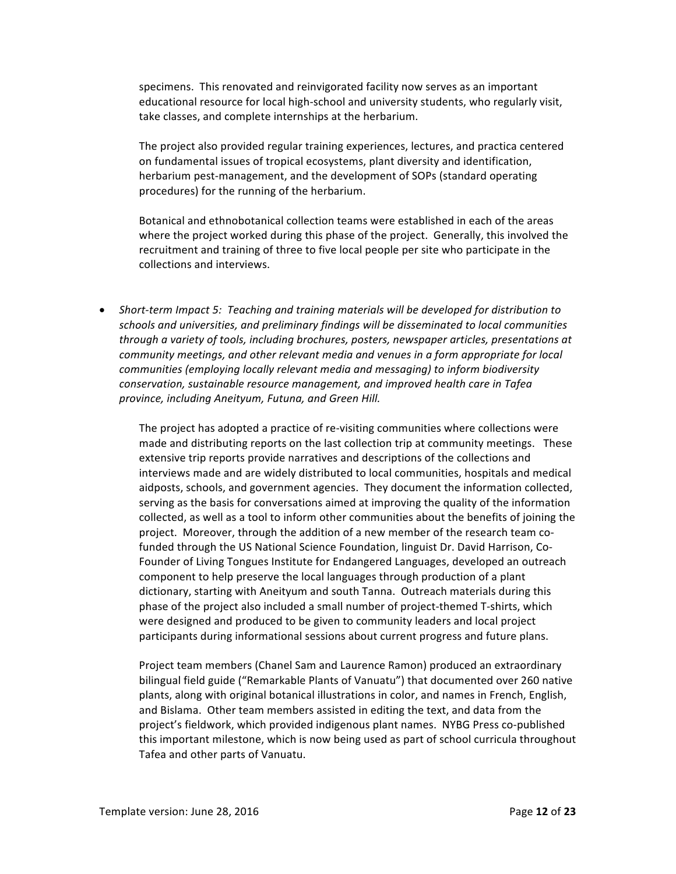specimens. This renovated and reinvigorated facility now serves as an important educational resource for local high-school and university students, who regularly visit, take classes, and complete internships at the herbarium.

The project also provided regular training experiences, lectures, and practica centered on fundamental issues of tropical ecosystems, plant diversity and identification, herbarium pest-management, and the development of SOPs (standard operating procedures) for the running of the herbarium.

Botanical and ethnobotanical collection teams were established in each of the areas where the project worked during this phase of the project. Generally, this involved the recruitment and training of three to five local people per site who participate in the collections and interviews.

• Short-term Impact 5: Teaching and training materials will be developed for distribution to schools and universities, and preliminary findings will be disseminated to local communities through a variety of tools, including brochures, posters, newspaper articles, presentations at *community meetings, and other relevant media and venues in a form appropriate for local communities* (employing locally relevant media and messaging) to inform biodiversity *conservation, sustainable resource management, and improved health care in Tafea* province, including Aneityum, Futuna, and Green Hill.

The project has adopted a practice of re-visiting communities where collections were made and distributing reports on the last collection trip at community meetings. These extensive trip reports provide narratives and descriptions of the collections and interviews made and are widely distributed to local communities, hospitals and medical aidposts, schools, and government agencies. They document the information collected, serving as the basis for conversations aimed at improving the quality of the information collected, as well as a tool to inform other communities about the benefits of joining the project. Moreover, through the addition of a new member of the research team cofunded through the US National Science Foundation, linguist Dr. David Harrison, Co-Founder of Living Tongues Institute for Endangered Languages, developed an outreach component to help preserve the local languages through production of a plant dictionary, starting with Aneityum and south Tanna. Outreach materials during this phase of the project also included a small number of project-themed T-shirts, which were designed and produced to be given to community leaders and local project participants during informational sessions about current progress and future plans.

Project team members (Chanel Sam and Laurence Ramon) produced an extraordinary bilingual field guide ("Remarkable Plants of Vanuatu") that documented over 260 native plants, along with original botanical illustrations in color, and names in French, English, and Bislama. Other team members assisted in editing the text, and data from the project's fieldwork, which provided indigenous plant names. NYBG Press co-published this important milestone, which is now being used as part of school curricula throughout Tafea and other parts of Vanuatu.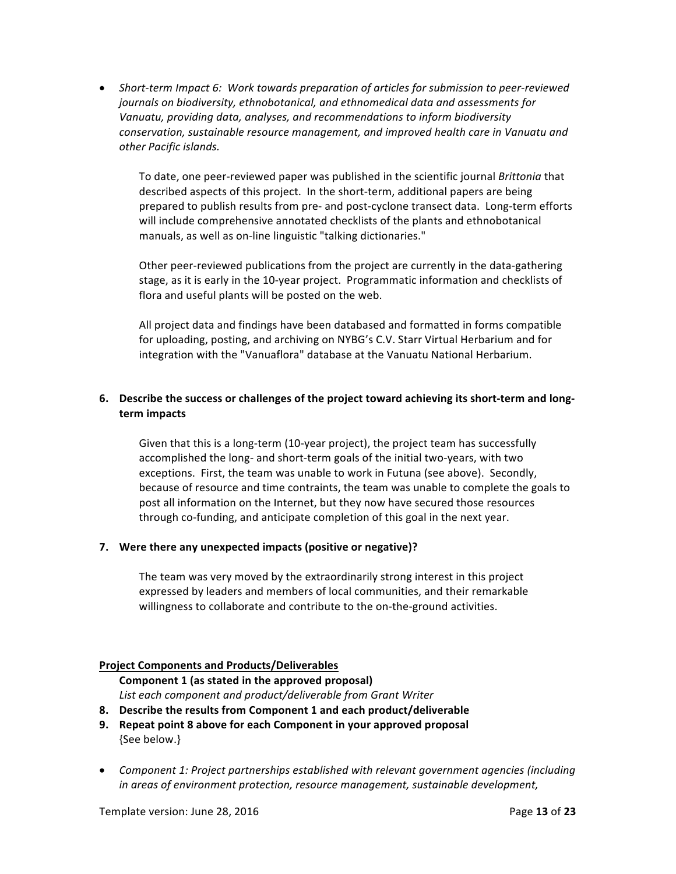• Short-term Impact 6: Work towards preparation of articles for submission to peer-reviewed *journals* on biodiversity, ethnobotanical, and ethnomedical data and assessments for *Vanuatu, providing data, analyses, and recommendations to inform biodiversity conservation, sustainable resource management, and improved health care in Vanuatu and other Pacific islands.*

To date, one peer-reviewed paper was published in the scientific journal *Brittonia* that described aspects of this project. In the short-term, additional papers are being prepared to publish results from pre- and post-cyclone transect data. Long-term efforts will include comprehensive annotated checklists of the plants and ethnobotanical manuals, as well as on-line linguistic "talking dictionaries."

Other peer-reviewed publications from the project are currently in the data-gathering stage, as it is early in the 10-year project. Programmatic information and checklists of flora and useful plants will be posted on the web.

All project data and findings have been databased and formatted in forms compatible for uploading, posting, and archiving on NYBG's C.V. Starr Virtual Herbarium and for integration with the "Vanuaflora" database at the Vanuatu National Herbarium.

### **6.** Describe the success or challenges of the project toward achieving its short-term and long**term impacts**

Given that this is a long-term (10-year project), the project team has successfully accomplished the long- and short-term goals of the initial two-years, with two exceptions. First, the team was unable to work in Futuna (see above). Secondly, because of resource and time contraints, the team was unable to complete the goals to post all information on the Internet, but they now have secured those resources through co-funding, and anticipate completion of this goal in the next year.

#### **7.** Were there any unexpected impacts (positive or negative)?

The team was very moved by the extraordinarily strong interest in this project expressed by leaders and members of local communities, and their remarkable willingness to collaborate and contribute to the on-the-ground activities.

#### **Project Components and Products/Deliverables**

**Component 1 (as stated in the approved proposal)** List each component and product/deliverable from Grant Writer

- **8.** Describe the results from Component 1 and each product/deliverable
- **9.** Repeat point 8 above for each Component in your approved proposal {See below.}
- Component 1: Project partnerships established with relevant government agencies (including *in* areas of environment protection, resource management, sustainable development,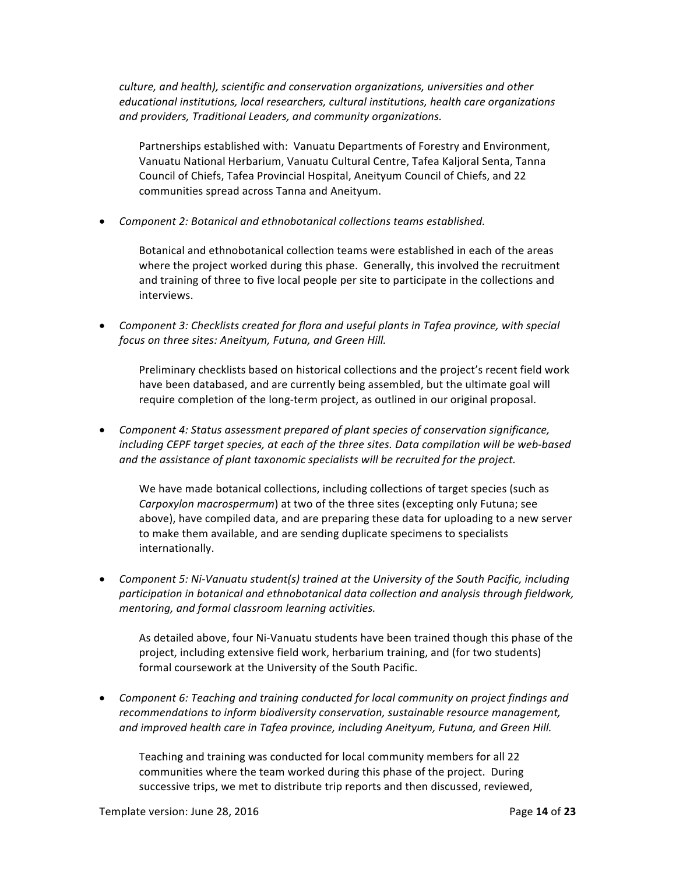*culture, and health), scientific and conservation organizations, universities and other educational institutions, local researchers, cultural institutions, health care organizations and providers, Traditional Leaders, and community organizations.*

Partnerships established with: Vanuatu Departments of Forestry and Environment, Vanuatu National Herbarium, Vanuatu Cultural Centre, Tafea Kaljoral Senta, Tanna Council of Chiefs, Tafea Provincial Hospital, Aneityum Council of Chiefs, and 22 communities spread across Tanna and Aneityum.

• Component 2: Botanical and ethnobotanical collections teams established.

Botanical and ethnobotanical collection teams were established in each of the areas where the project worked during this phase. Generally, this involved the recruitment and training of three to five local people per site to participate in the collections and interviews. 

• Component 3: Checklists created for flora and useful plants in Tafea province, with special *focus* on three sites: Aneityum, Futuna, and Green Hill.

Preliminary checklists based on historical collections and the project's recent field work have been databased, and are currently being assembled, but the ultimate goal will require completion of the long-term project, as outlined in our original proposal.

• Component 4: Status assessment prepared of plant species of conservation significance, *including* CEPF target species, at each of the three sites. Data compilation will be web-based and the assistance of plant taxonomic specialists will be recruited for the project.

We have made botanical collections, including collections of target species (such as *Carpoxylon macrospermum*) at two of the three sites (excepting only Futuna; see above), have compiled data, and are preparing these data for uploading to a new server to make them available, and are sending duplicate specimens to specialists internationally.

• Component 5: Ni-Vanuatu student(s) trained at the University of the South Pacific, including participation in botanical and ethnobotanical data collection and analysis through fieldwork, *mentoring, and formal classroom learning activities.*

As detailed above, four Ni-Vanuatu students have been trained though this phase of the project, including extensive field work, herbarium training, and (for two students) formal coursework at the University of the South Pacific.

• Component 6: Teaching and training conducted for local community on project findings and *recommendations to inform biodiversity conservation, sustainable resource management,* and improved health care in Tafea province, including Aneityum, Futuna, and Green Hill.

Teaching and training was conducted for local community members for all 22 communities where the team worked during this phase of the project. During successive trips, we met to distribute trip reports and then discussed, reviewed,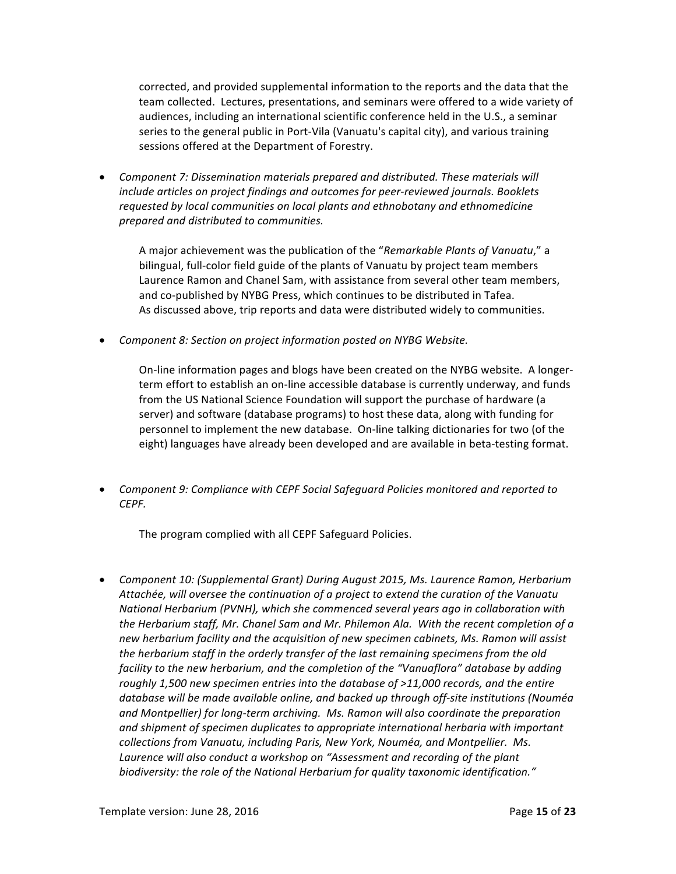corrected, and provided supplemental information to the reports and the data that the team collected. Lectures, presentations, and seminars were offered to a wide variety of audiences, including an international scientific conference held in the U.S., a seminar series to the general public in Port-Vila (Vanuatu's capital city), and various training sessions offered at the Department of Forestry.

• Component 7: Dissemination materials prepared and distributed. These materials will *include articles on project findings and outcomes for peer-reviewed journals. Booklets* requested by local communities on local plants and ethnobotany and ethnomedicine *prepared and distributed to communities.*

A major achievement was the publication of the "Remarkable Plants of Vanuatu," a bilingual, full-color field guide of the plants of Vanuatu by project team members Laurence Ramon and Chanel Sam, with assistance from several other team members, and co-published by NYBG Press, which continues to be distributed in Tafea. As discussed above, trip reports and data were distributed widely to communities.

• Component 8: Section on project information posted on NYBG Website.

On-line information pages and blogs have been created on the NYBG website. A longerterm effort to establish an on-line accessible database is currently underway, and funds from the US National Science Foundation will support the purchase of hardware (a server) and software (database programs) to host these data, along with funding for personnel to implement the new database. On-line talking dictionaries for two (of the eight) languages have already been developed and are available in beta-testing format.

• Component 9: Compliance with CEPF Social Safeguard Policies monitored and reported to *CEPF.*

The program complied with all CEPF Safeguard Policies.

• Component 10: (Supplemental Grant) During August 2015, Ms. Laurence Ramon, Herbarium Attachée, will oversee the continuation of a project to extend the curation of the Vanuatu *National Herbarium (PVNH), which she commenced several years ago in collaboration with* the Herbarium staff, Mr. Chanel Sam and Mr. Philemon Ala. With the recent completion of a new herbarium facility and the acquisition of new specimen cabinets, Ms. Ramon will assist the herbarium staff in the orderly transfer of the last remaining specimens from the old *facility* to the new herbarium, and the completion of the "Vanuaflora" database by adding roughly 1,500 new specimen entries into the database of >11,000 records, and the entire database will be made available online, and backed up through off-site institutions (Nouméa and Montpellier) for long-term archiving. Ms. Ramon will also coordinate the preparation and shipment of specimen duplicates to appropriate international herbaria with important *collections from Vanuatu, including Paris, New York, Nouméa, and Montpellier. Ms.* Laurence will also conduct a workshop on "Assessment and recording of the plant biodiversity: the role of the National Herbarium for quality taxonomic identification."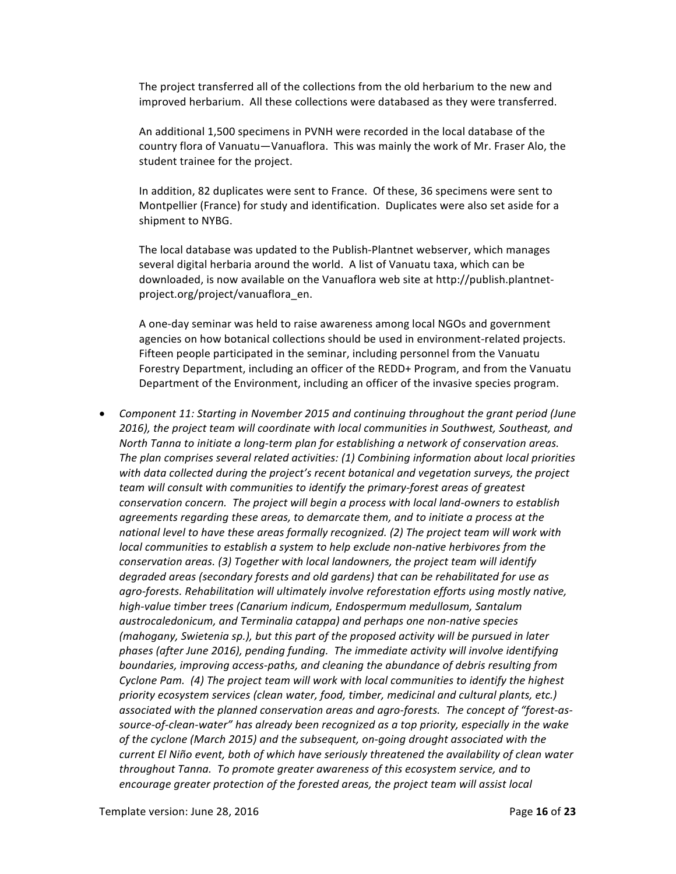The project transferred all of the collections from the old herbarium to the new and improved herbarium. All these collections were databased as they were transferred.

An additional 1,500 specimens in PVNH were recorded in the local database of the country flora of Vanuatu—Vanuaflora. This was mainly the work of Mr. Fraser Alo, the student trainee for the project.

In addition, 82 duplicates were sent to France. Of these, 36 specimens were sent to Montpellier (France) for study and identification. Duplicates were also set aside for a shipment to NYBG.

The local database was updated to the Publish-Plantnet webserver, which manages several digital herbaria around the world. A list of Vanuatu taxa, which can be downloaded, is now available on the Vanuaflora web site at http://publish.plantnetproject.org/project/vanuaflora\_en.

A one-day seminar was held to raise awareness among local NGOs and government agencies on how botanical collections should be used in environment-related projects. Fifteen people participated in the seminar, including personnel from the Vanuatu Forestry Department, including an officer of the REDD+ Program, and from the Vanuatu Department of the Environment, including an officer of the invasive species program.

• Component 11: Starting in November 2015 and continuing throughout the grant period (June 2016), the project team will coordinate with local communities in Southwest, Southeast, and *North Tanna to initiate a long-term plan for establishing a network of conservation areas.* The plan comprises several related activities: (1) Combining information about local priorities with data collected during the project's recent botanical and vegetation surveys, the project *team* will consult with communities to identify the primary-forest areas of greatest *conservation concern.* The project will begin a process with local land-owners to establish agreements regarding these areas, to demarcate them, and to initiate a process at the national level to have these areas formally recognized. (2) The project team will work with *local* communities to establish a system to help exclude non-native herbivores from the *conservation areas.* (3) Together with local landowners, the project team will identify degraded areas (secondary forests and old gardens) that can be rehabilitated for use as agro-forests. Rehabilitation will ultimately involve reforestation efforts using mostly native, high-value timber trees (Canarium indicum, Endospermum medullosum, Santalum *austrocaledonicum, and Terminalia catappa) and perhaps one non-native species (mahogany, Swietenia sp.), but this part of the proposed activity will be pursued in later* phases (after June 2016), pending funding. The immediate activity will involve identifying *boundaries, improving access-paths, and cleaning the abundance of debris resulting from Cyclone Pam.* (4) The project team will work with local communities to identify the highest priority ecosystem services (clean water, food, timber, medicinal and cultural plants, etc.) associated with the planned conservation areas and agro-forests. The concept of "forest-assource-of-clean-water" has already been recognized as a top priority, especially in the wake of the cyclone (March 2015) and the subsequent, on-going drought associated with the *current* El Niño event, both of which have seriously threatened the availability of clean water *throughout Tanna.* To promote greater awareness of this ecosystem service, and to *encourage greater protection of the forested areas, the project team will assist local*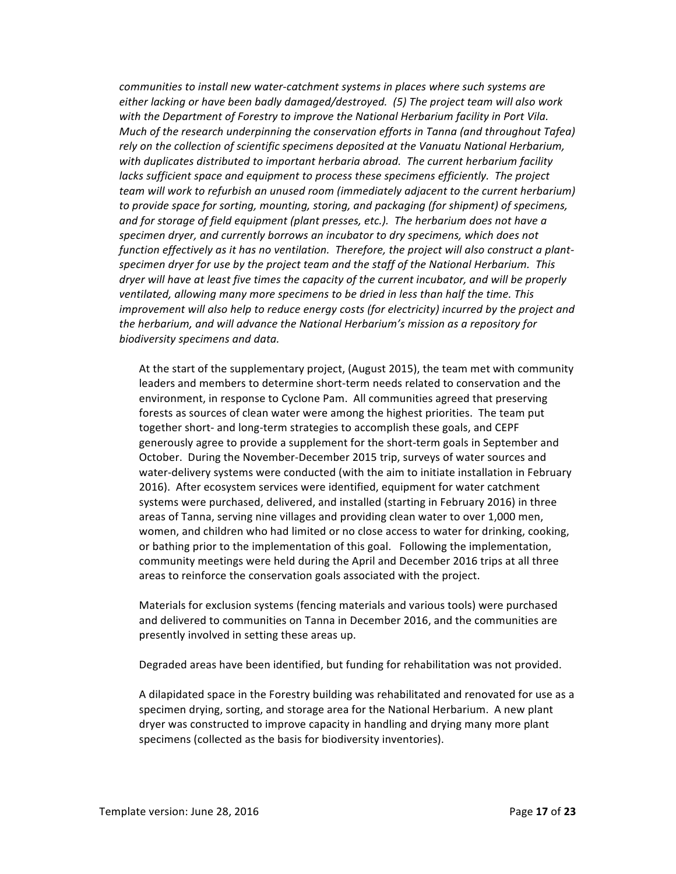*communities to install new water-catchment systems in places where such systems are* either lacking or have been badly damaged/destroyed. (5) The project team will also work with the Department of Forestry to improve the National Herbarium facility in Port Vila. *Much* of the research underpinning the conservation efforts in Tanna (and throughout Tafea) rely on the collection of scientific specimens deposited at the Vanuatu National Herbarium, with duplicates distributed to important herbaria abroad. The current herbarium facility *lacks* sufficient space and equipment to process these specimens efficiently. The project *team* will work to refurbish an unused room (immediately adjacent to the current herbarium) to provide space for sorting, mounting, storing, and packaging (for shipment) of specimens, *and* for storage of field equipment (plant presses, etc.). The herbarium does not have a specimen dryer, and currently borrows an incubator to dry specimens, which does not function effectively as it has no ventilation. Therefore, the project will also construct a plant*specimen dryer for use by the project team and the staff of the National Herbarium. This dryer* will have at least five times the capacity of the current incubator, and will be properly ventilated, allowing many more specimens to be dried in less than half the time. This *improvement will also help to reduce energy costs (for electricity) incurred by the project and* the herbarium, and will advance the National Herbarium's mission as a repository for *biodiversity specimens and data.*

At the start of the supplementary project, (August 2015), the team met with community leaders and members to determine short-term needs related to conservation and the environment, in response to Cyclone Pam. All communities agreed that preserving forests as sources of clean water were among the highest priorities. The team put together short- and long-term strategies to accomplish these goals, and CEPF generously agree to provide a supplement for the short-term goals in September and October. During the November-December 2015 trip, surveys of water sources and water-delivery systems were conducted (with the aim to initiate installation in February 2016). After ecosystem services were identified, equipment for water catchment systems were purchased, delivered, and installed (starting in February 2016) in three areas of Tanna, serving nine villages and providing clean water to over 1,000 men, women, and children who had limited or no close access to water for drinking, cooking, or bathing prior to the implementation of this goal. Following the implementation, community meetings were held during the April and December 2016 trips at all three areas to reinforce the conservation goals associated with the project.

Materials for exclusion systems (fencing materials and various tools) were purchased and delivered to communities on Tanna in December 2016, and the communities are presently involved in setting these areas up.

Degraded areas have been identified, but funding for rehabilitation was not provided.

A dilapidated space in the Forestry building was rehabilitated and renovated for use as a specimen drying, sorting, and storage area for the National Herbarium. A new plant dryer was constructed to improve capacity in handling and drying many more plant specimens (collected as the basis for biodiversity inventories).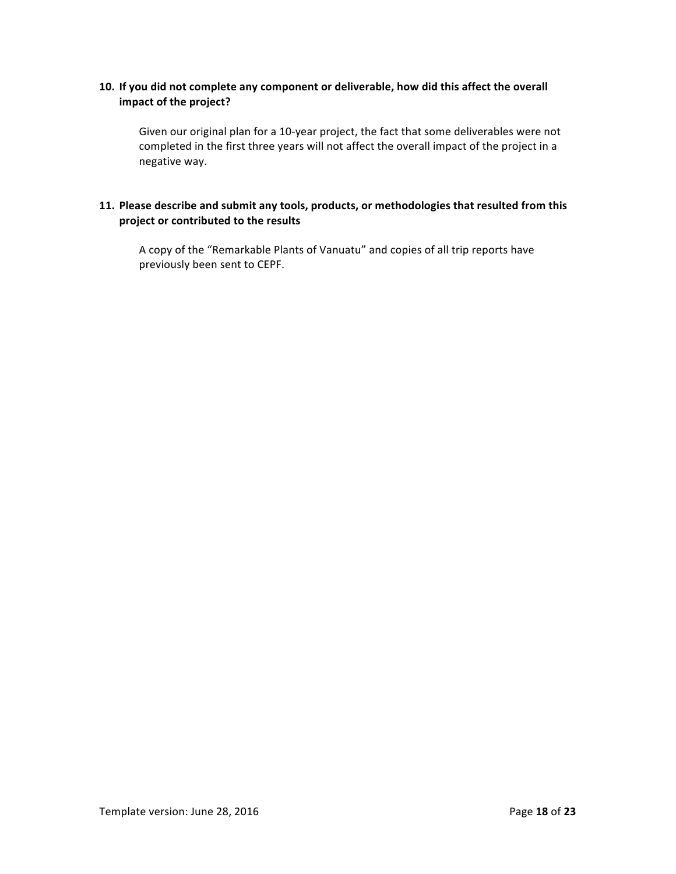## **10.** If you did not complete any component or deliverable, how did this affect the overall **impact of the project?**

Given our original plan for a 10-year project, the fact that some deliverables were not completed in the first three years will not affect the overall impact of the project in a negative way.

### 11. Please describe and submit any tools, products, or methodologies that resulted from this project or contributed to the results

A copy of the "Remarkable Plants of Vanuatu" and copies of all trip reports have previously been sent to CEPF.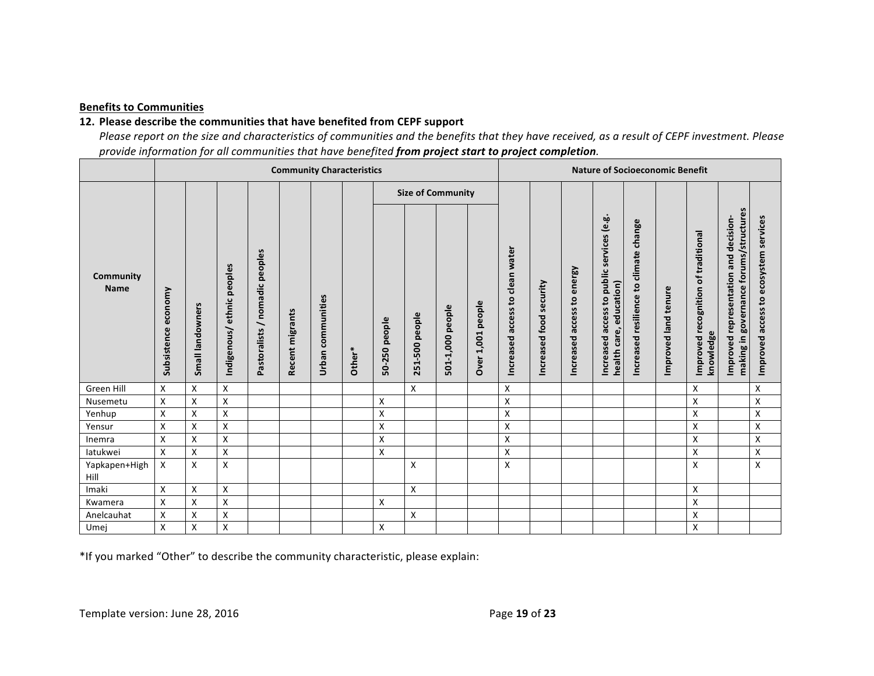### **Benefits to Communities**

### 12. Please describe the communities that have benefited from CEPF support

Please report on the size and characteristics of communities and the benefits that they have received, as a result of CEPF investment. Please *provide information for all communities that have benefited from project start to project completion.* 

|                          | <b>Community Characteristics</b> |                    |                               |                                                                |                 |                      | <b>Nature of Socioeconomic Benefit</b> |               |                |                     |                   |                                                    |                            |                            |                                                                                    |                                              |                      |                                                     |                                                                                          |                                       |
|--------------------------|----------------------------------|--------------------|-------------------------------|----------------------------------------------------------------|-----------------|----------------------|----------------------------------------|---------------|----------------|---------------------|-------------------|----------------------------------------------------|----------------------------|----------------------------|------------------------------------------------------------------------------------|----------------------------------------------|----------------------|-----------------------------------------------------|------------------------------------------------------------------------------------------|---------------------------------------|
|                          |                                  |                    |                               |                                                                |                 |                      | <b>Size of Community</b>               |               |                |                     |                   |                                                    |                            |                            |                                                                                    |                                              |                      |                                                     |                                                                                          |                                       |
| Community<br><b>Name</b> | economy<br>Subsistence           | Small landowners   | ethnic peoples<br>Indigenous/ | peoples<br>nomadic<br>$\overline{\phantom{0}}$<br>Pastoralists | Recent migrants | communities<br>Urban | Other*                                 | 50-250 people | 251-500 people | people<br>501-1,000 | Over 1,001 people | clean water<br>$\mathbf{c}$<br>access<br>Increased | security<br>Increased food | Increased access to energy | services (e.g.<br>public :<br>education)<br>access to<br>health care,<br>Increased | change<br>climate<br>Increased resilience to | Improved land tenure | of traditional<br>Improved recognition<br>knowledge | governance forums/structures<br>and decision-<br>representation<br>making in<br>Improved | Improved access to ecosystem services |
| Green Hill               | X                                | X                  | X                             |                                                                |                 |                      |                                        |               | X              |                     |                   | X                                                  |                            |                            |                                                                                    |                                              |                      | X                                                   |                                                                                          | X                                     |
| Nusemetu                 | X                                | Χ                  | X                             |                                                                |                 |                      |                                        | Χ             |                |                     |                   | X                                                  |                            |                            |                                                                                    |                                              |                      | X                                                   |                                                                                          | Χ                                     |
| Yenhup                   | X                                | $\pmb{\mathsf{X}}$ | Χ                             |                                                                |                 |                      |                                        | X             |                |                     |                   | X                                                  |                            |                            |                                                                                    |                                              |                      | X                                                   |                                                                                          | Χ                                     |
| Yensur                   | X                                | X                  | X                             |                                                                |                 |                      |                                        | X             |                |                     |                   | X                                                  |                            |                            |                                                                                    |                                              |                      | X                                                   |                                                                                          | X                                     |
| Inemra                   | X                                | X                  | X                             |                                                                |                 |                      |                                        | X             |                |                     |                   | X                                                  |                            |                            |                                                                                    |                                              |                      | X                                                   |                                                                                          | Χ                                     |
| latukwei                 | X                                | X                  | X                             |                                                                |                 |                      |                                        | X             |                |                     |                   | X                                                  |                            |                            |                                                                                    |                                              |                      | X                                                   |                                                                                          | X                                     |
| Yapkapen+High<br>Hill    | X                                | X                  | X                             |                                                                |                 |                      |                                        |               | X              |                     |                   | X                                                  |                            |                            |                                                                                    |                                              |                      | X                                                   |                                                                                          | X                                     |
| Imaki                    | X                                | Χ                  | X                             |                                                                |                 |                      |                                        |               | X              |                     |                   |                                                    |                            |                            |                                                                                    |                                              |                      | X                                                   |                                                                                          |                                       |
| Kwamera                  | X                                | X                  | X                             |                                                                |                 |                      |                                        | X             |                |                     |                   |                                                    |                            |                            |                                                                                    |                                              |                      | X                                                   |                                                                                          |                                       |
| Anelcauhat               | X                                | X                  | X                             |                                                                |                 |                      |                                        |               | X              |                     |                   |                                                    |                            |                            |                                                                                    |                                              |                      | X                                                   |                                                                                          |                                       |
| Umej                     | x                                | X                  | X                             |                                                                |                 |                      |                                        | X             |                |                     |                   |                                                    |                            |                            |                                                                                    |                                              |                      | X                                                   |                                                                                          |                                       |

\*If you marked "Other" to describe the community characteristic, please explain: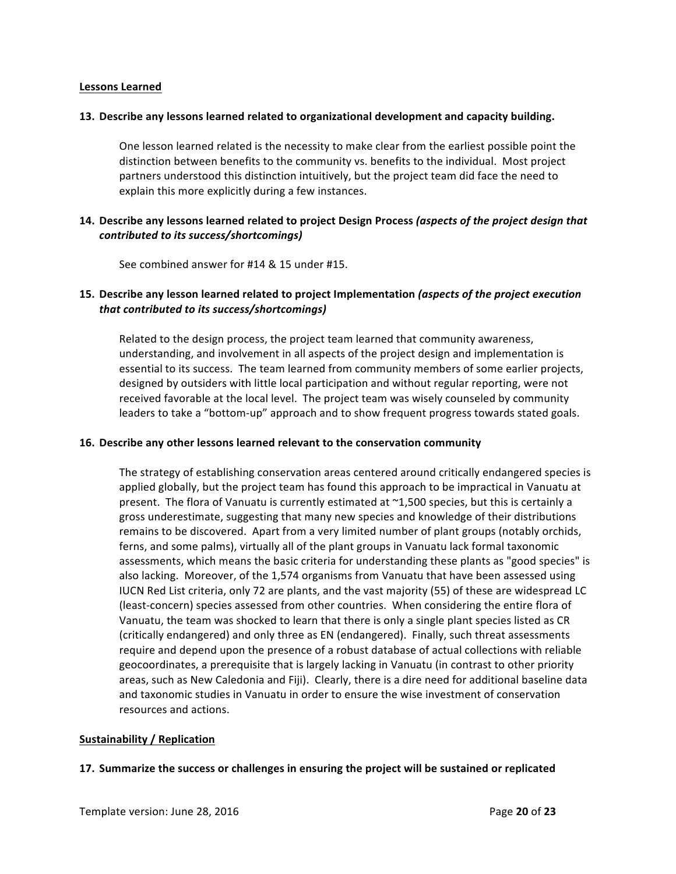#### **Lessons Learned**

#### **13.** Describe any lessons learned related to organizational development and capacity building.

One lesson learned related is the necessity to make clear from the earliest possible point the distinction between benefits to the community vs. benefits to the individual. Most project partners understood this distinction intuitively, but the project team did face the need to explain this more explicitly during a few instances.

### **14.** Describe any lessons learned related to project Design Process (aspects of the project design that *contributed to its success/shortcomings)*

See combined answer for #14 & 15 under #15.

### **15.** Describe any lesson learned related to project Implementation *(aspects of the project execution that contributed to its success/shortcomings)*

Related to the design process, the project team learned that community awareness, understanding, and involvement in all aspects of the project design and implementation is essential to its success. The team learned from community members of some earlier projects, designed by outsiders with little local participation and without regular reporting, were not received favorable at the local level. The project team was wisely counseled by community leaders to take a "bottom-up" approach and to show frequent progress towards stated goals.

#### **16. Describe any other lessons learned relevant to the conservation community**

The strategy of establishing conservation areas centered around critically endangered species is applied globally, but the project team has found this approach to be impractical in Vanuatu at present. The flora of Vanuatu is currently estimated at  $\sim$ 1,500 species, but this is certainly a gross underestimate, suggesting that many new species and knowledge of their distributions remains to be discovered. Apart from a very limited number of plant groups (notably orchids, ferns, and some palms), virtually all of the plant groups in Vanuatu lack formal taxonomic assessments, which means the basic criteria for understanding these plants as "good species" is also lacking. Moreover, of the 1,574 organisms from Vanuatu that have been assessed using IUCN Red List criteria, only 72 are plants, and the vast majority (55) of these are widespread LC (least-concern) species assessed from other countries. When considering the entire flora of Vanuatu, the team was shocked to learn that there is only a single plant species listed as CR (critically endangered) and only three as EN (endangered). Finally, such threat assessments require and depend upon the presence of a robust database of actual collections with reliable geocoordinates, a prerequisite that is largely lacking in Vanuatu (in contrast to other priority areas, such as New Caledonia and Fiji). Clearly, there is a dire need for additional baseline data and taxonomic studies in Vanuatu in order to ensure the wise investment of conservation resources and actions.

#### **Sustainability / Replication**

#### **17.** Summarize the success or challenges in ensuring the project will be sustained or replicated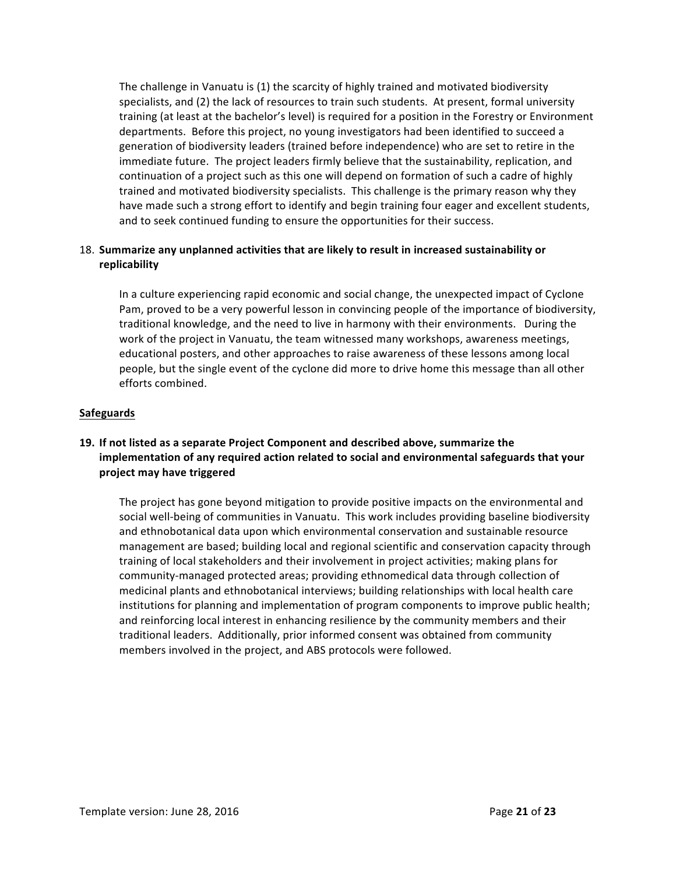The challenge in Vanuatu is (1) the scarcity of highly trained and motivated biodiversity specialists, and (2) the lack of resources to train such students. At present, formal university training (at least at the bachelor's level) is required for a position in the Forestry or Environment departments. Before this project, no young investigators had been identified to succeed a generation of biodiversity leaders (trained before independence) who are set to retire in the immediate future. The project leaders firmly believe that the sustainability, replication, and continuation of a project such as this one will depend on formation of such a cadre of highly trained and motivated biodiversity specialists. This challenge is the primary reason why they have made such a strong effort to identify and begin training four eager and excellent students, and to seek continued funding to ensure the opportunities for their success.

### 18. Summarize any unplanned activities that are likely to result in increased sustainability or **replicability**

In a culture experiencing rapid economic and social change, the unexpected impact of Cyclone Pam, proved to be a very powerful lesson in convincing people of the importance of biodiversity, traditional knowledge, and the need to live in harmony with their environments. During the work of the project in Vanuatu, the team witnessed many workshops, awareness meetings, educational posters, and other approaches to raise awareness of these lessons among local people, but the single event of the cyclone did more to drive home this message than all other efforts combined.

### **Safeguards**

## **19.** If not listed as a separate Project Component and described above, summarize the **implementation of any required action related to social and environmental safeguards that your project may have triggered**

The project has gone beyond mitigation to provide positive impacts on the environmental and social well-being of communities in Vanuatu. This work includes providing baseline biodiversity and ethnobotanical data upon which environmental conservation and sustainable resource management are based; building local and regional scientific and conservation capacity through training of local stakeholders and their involvement in project activities; making plans for community-managed protected areas; providing ethnomedical data through collection of medicinal plants and ethnobotanical interviews; building relationships with local health care institutions for planning and implementation of program components to improve public health; and reinforcing local interest in enhancing resilience by the community members and their traditional leaders. Additionally, prior informed consent was obtained from community members involved in the project, and ABS protocols were followed.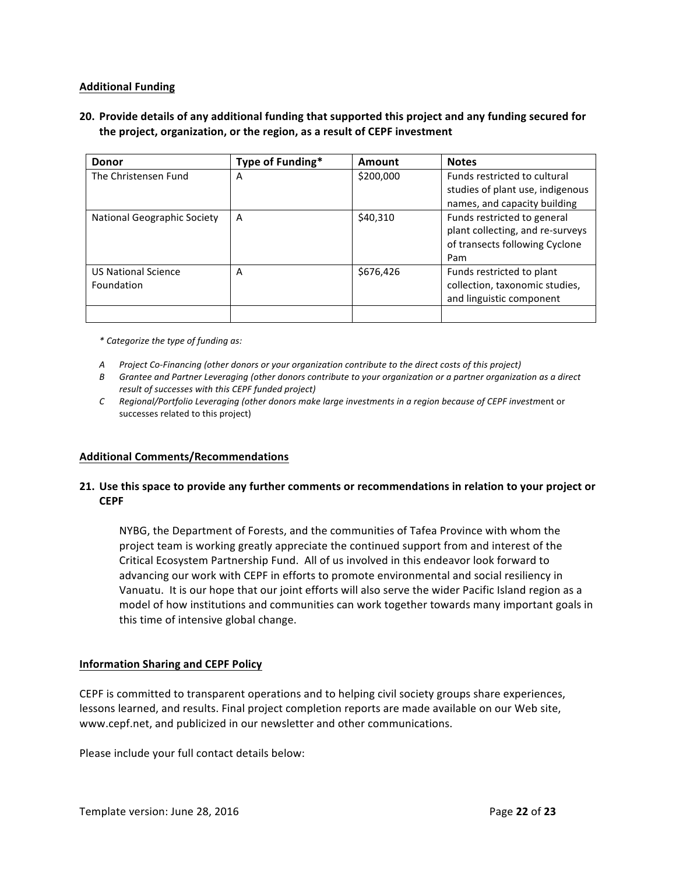### **Additional Funding**

## **20.** Provide details of any additional funding that supported this project and any funding secured for the project, organization, or the region, as a result of CEPF investment

| <b>Donor</b>                             | Type of Funding* | Amount    | <b>Notes</b>                                                                                             |
|------------------------------------------|------------------|-----------|----------------------------------------------------------------------------------------------------------|
| The Christensen Fund                     | А                | \$200,000 | Funds restricted to cultural<br>studies of plant use, indigenous                                         |
|                                          |                  |           | names, and capacity building                                                                             |
| National Geographic Society              | A                | \$40,310  | Funds restricted to general<br>plant collecting, and re-surveys<br>of transects following Cyclone<br>Pam |
| <b>US National Science</b><br>Foundation | А                | \$676,426 | Funds restricted to plant<br>collection, taxonomic studies,<br>and linguistic component                  |
|                                          |                  |           |                                                                                                          |

*\* Categorize the type of funding as:*

- *A Project Co-Financing (other donors or your organization contribute to the direct costs of this project)*
- *B* Grantee and Partner Leveraging (other donors contribute to your organization or a partner organization as a direct *result of successes with this CEPF funded project)*
- *C* Regional/Portfolio Leveraging (other donors make large investments in a region because of CEPF investment or successes related to this project)

#### **Additional Comments/Recommendations**

### **21.** Use this space to provide any further comments or recommendations in relation to your project or **CEPF**

NYBG, the Department of Forests, and the communities of Tafea Province with whom the project team is working greatly appreciate the continued support from and interest of the Critical Ecosystem Partnership Fund. All of us involved in this endeavor look forward to advancing our work with CEPF in efforts to promote environmental and social resiliency in Vanuatu. It is our hope that our joint efforts will also serve the wider Pacific Island region as a model of how institutions and communities can work together towards many important goals in this time of intensive global change.

#### **Information Sharing and CEPF Policy**

CEPF is committed to transparent operations and to helping civil society groups share experiences, lessons learned, and results. Final project completion reports are made available on our Web site, www.cepf.net, and publicized in our newsletter and other communications.

Please include your full contact details below: